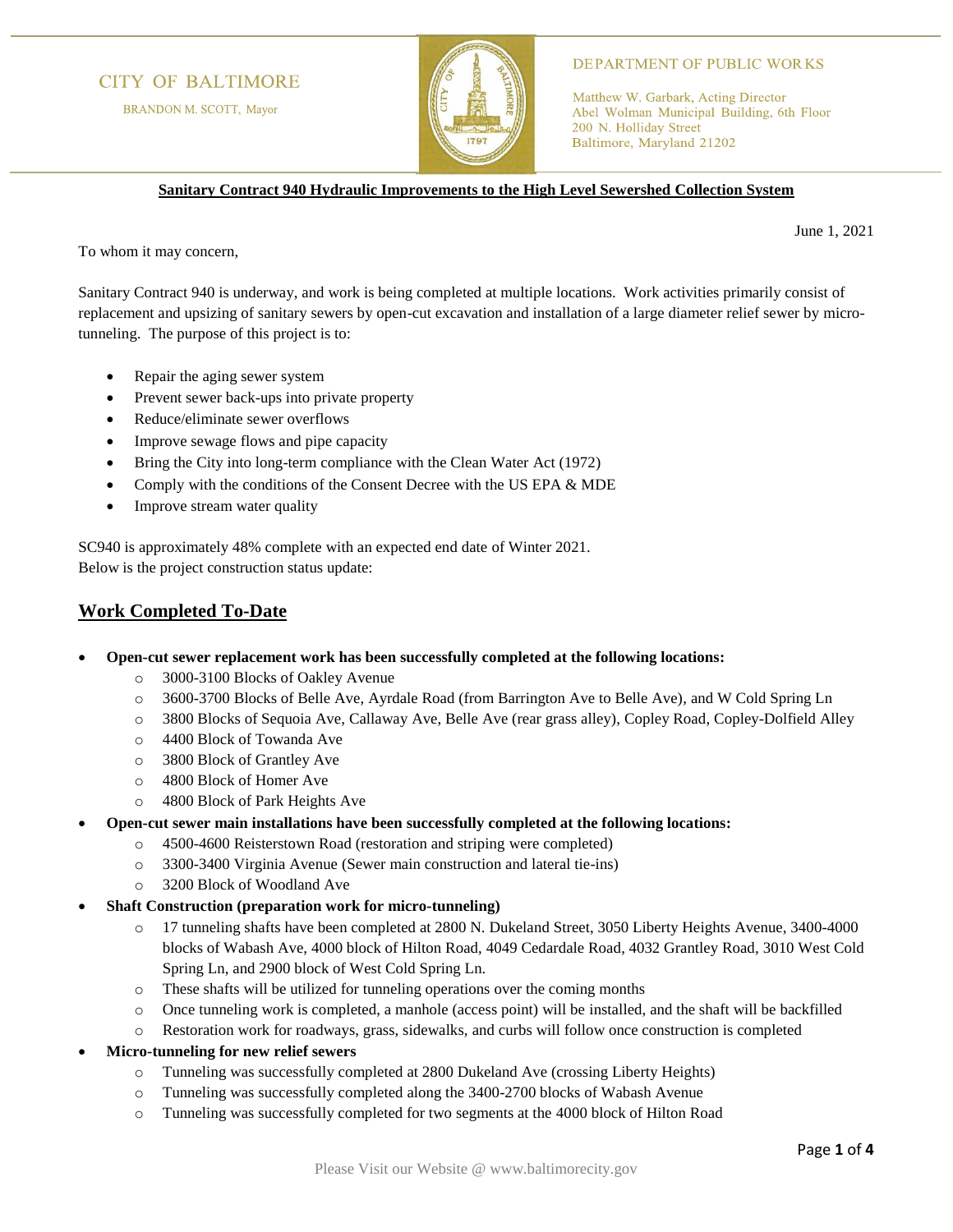## **CITY OF BALTIMORE**

BRANDON M. SCOTT, Mayor



### **DEPARTMENT OF PUBLIC WORKS**

Matthew W. Garbark, Acting Director Abel Wolman Municipal Building, 6th Floor 200 N. Holliday Street Baltimore, Maryland 21202

**Sanitary Contract 940 Hydraulic Improvements to the High Level Sewershed Collection System**

June 1, 2021

To whom it may concern,

Sanitary Contract 940 is underway, and work is being completed at multiple locations. Work activities primarily consist of replacement and upsizing of sanitary sewers by open-cut excavation and installation of a large diameter relief sewer by microtunneling. The purpose of this project is to:

- Repair the aging sewer system
- Prevent sewer back-ups into private property
- Reduce/eliminate sewer overflows
- Improve sewage flows and pipe capacity
- Bring the City into long-term compliance with the Clean Water Act (1972)
- Comply with the conditions of the Consent Decree with the US EPA & MDE
- Improve stream water quality

SC940 is approximately 48% complete with an expected end date of Winter 2021. Below is the project construction status update:

### **Work Completed To-Date**

- **Open-cut sewer replacement work has been successfully completed at the following locations:**
	- o 3000-3100 Blocks of Oakley Avenue
	- o 3600-3700 Blocks of Belle Ave, Ayrdale Road (from Barrington Ave to Belle Ave), and W Cold Spring Ln
	- o 3800 Blocks of Sequoia Ave, Callaway Ave, Belle Ave (rear grass alley), Copley Road, Copley-Dolfield Alley
	- o 4400 Block of Towanda Ave
	- o 3800 Block of Grantley Ave
	- o 4800 Block of Homer Ave
	- o 4800 Block of Park Heights Ave
- **Open-cut sewer main installations have been successfully completed at the following locations:**
	- o 4500-4600 Reisterstown Road (restoration and striping were completed)
	- o 3300-3400 Virginia Avenue (Sewer main construction and lateral tie-ins)
	- o 3200 Block of Woodland Ave
- **Shaft Construction (preparation work for micro-tunneling)**
	- o 17 tunneling shafts have been completed at 2800 N. Dukeland Street, 3050 Liberty Heights Avenue, 3400-4000 blocks of Wabash Ave, 4000 block of Hilton Road, 4049 Cedardale Road, 4032 Grantley Road, 3010 West Cold Spring Ln, and 2900 block of West Cold Spring Ln.
	- o These shafts will be utilized for tunneling operations over the coming months
	- o Once tunneling work is completed, a manhole (access point) will be installed, and the shaft will be backfilled
	- o Restoration work for roadways, grass, sidewalks, and curbs will follow once construction is completed
- **Micro-tunneling for new relief sewers**
	- o Tunneling was successfully completed at 2800 Dukeland Ave (crossing Liberty Heights)
	- o Tunneling was successfully completed along the 3400-2700 blocks of Wabash Avenue
	- o Tunneling was successfully completed for two segments at the 4000 block of Hilton Road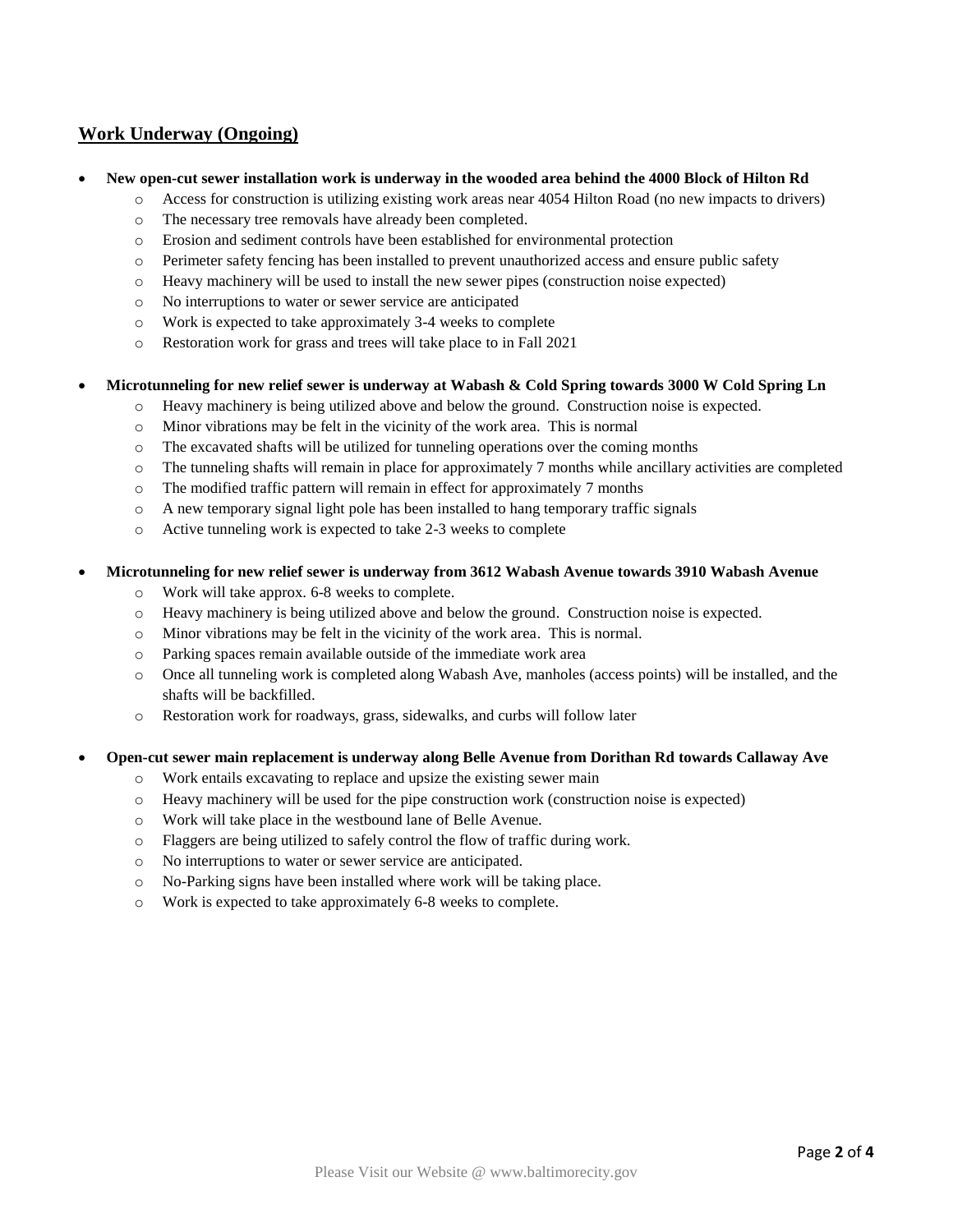## **Work Underway (Ongoing)**

#### • **New open-cut sewer installation work is underway in the wooded area behind the 4000 Block of Hilton Rd**

- o Access for construction is utilizing existing work areas near 4054 Hilton Road (no new impacts to drivers)
	- o The necessary tree removals have already been completed.
	- o Erosion and sediment controls have been established for environmental protection
	- o Perimeter safety fencing has been installed to prevent unauthorized access and ensure public safety
	- o Heavy machinery will be used to install the new sewer pipes (construction noise expected)
	- o No interruptions to water or sewer service are anticipated
	- o Work is expected to take approximately 3-4 weeks to complete
	- o Restoration work for grass and trees will take place to in Fall 2021

#### • **Microtunneling for new relief sewer is underway at Wabash & Cold Spring towards 3000 W Cold Spring Ln**

- o Heavy machinery is being utilized above and below the ground. Construction noise is expected.
- o Minor vibrations may be felt in the vicinity of the work area. This is normal
- $\circ$  The excavated shafts will be utilized for tunneling operations over the coming months
- o The tunneling shafts will remain in place for approximately 7 months while ancillary activities are completed
- o The modified traffic pattern will remain in effect for approximately 7 months
- o A new temporary signal light pole has been installed to hang temporary traffic signals
- o Active tunneling work is expected to take 2-3 weeks to complete

#### • **Microtunneling for new relief sewer is underway from 3612 Wabash Avenue towards 3910 Wabash Avenue**

- o Work will take approx. 6-8 weeks to complete.
- o Heavy machinery is being utilized above and below the ground. Construction noise is expected.
- o Minor vibrations may be felt in the vicinity of the work area. This is normal.
- o Parking spaces remain available outside of the immediate work area
- o Once all tunneling work is completed along Wabash Ave, manholes (access points) will be installed, and the shafts will be backfilled.
- o Restoration work for roadways, grass, sidewalks, and curbs will follow later

#### • **Open-cut sewer main replacement is underway along Belle Avenue from Dorithan Rd towards Callaway Ave**

- o Work entails excavating to replace and upsize the existing sewer main
- o Heavy machinery will be used for the pipe construction work (construction noise is expected)
- o Work will take place in the westbound lane of Belle Avenue.
- o Flaggers are being utilized to safely control the flow of traffic during work.
- o No interruptions to water or sewer service are anticipated.
- o No-Parking signs have been installed where work will be taking place.
- o Work is expected to take approximately 6-8 weeks to complete.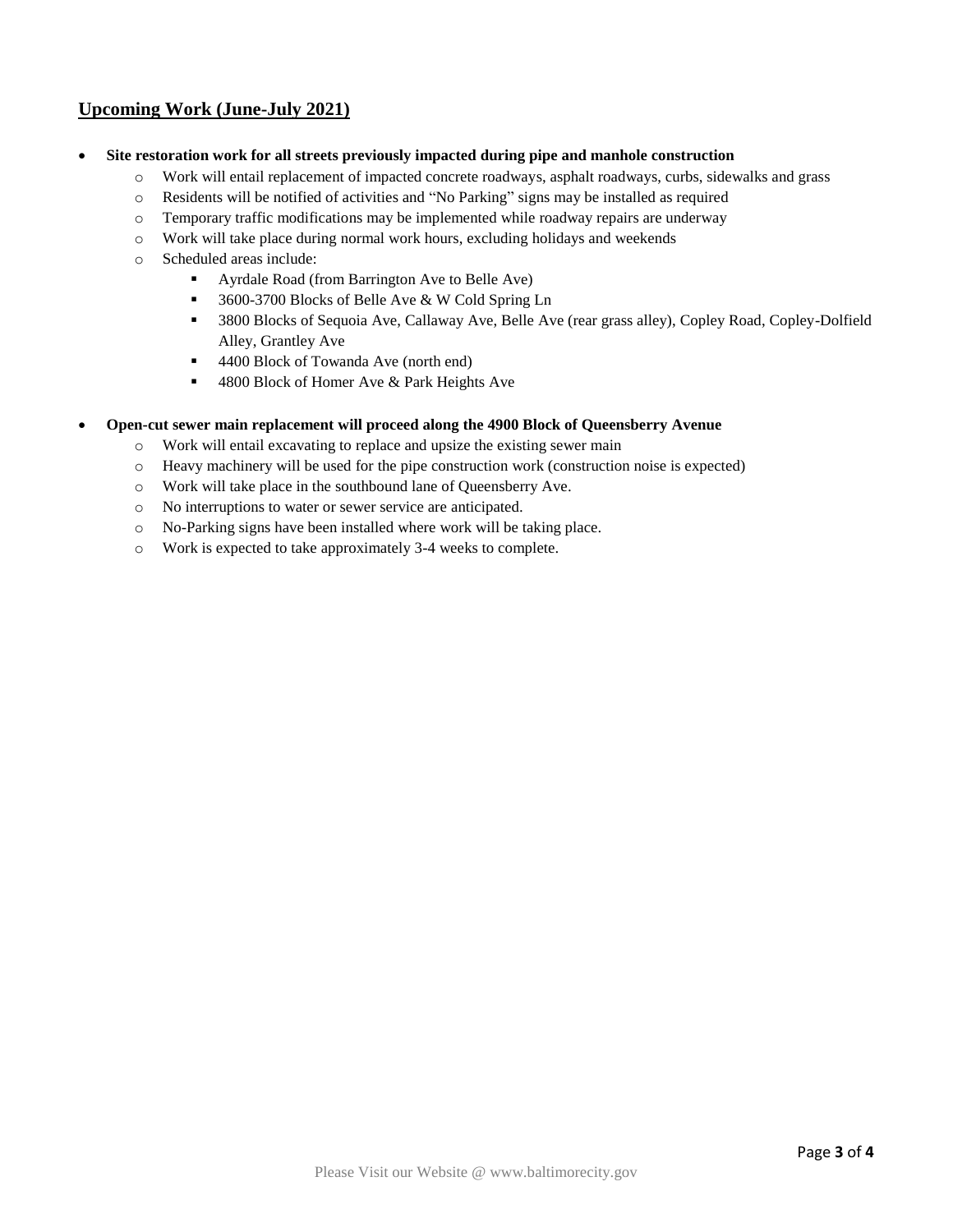# **Upcoming Work (June-July 2021)**

- **Site restoration work for all streets previously impacted during pipe and manhole construction**
	- o Work will entail replacement of impacted concrete roadways, asphalt roadways, curbs, sidewalks and grass
	- o Residents will be notified of activities and "No Parking" signs may be installed as required
	- o Temporary traffic modifications may be implemented while roadway repairs are underway
	- o Work will take place during normal work hours, excluding holidays and weekends
	- o Scheduled areas include:
		- Ayrdale Road (from Barrington Ave to Belle Ave)
		- 3600-3700 Blocks of Belle Ave & W Cold Spring Ln
		- 3800 Blocks of Sequoia Ave, Callaway Ave, Belle Ave (rear grass alley), Copley Road, Copley-Dolfield Alley, Grantley Ave
		- 4400 Block of Towanda Ave (north end)
		- 4800 Block of Homer Ave & Park Heights Ave

### • **Open-cut sewer main replacement will proceed along the 4900 Block of Queensberry Avenue**

- o Work will entail excavating to replace and upsize the existing sewer main
- o Heavy machinery will be used for the pipe construction work (construction noise is expected)
- o Work will take place in the southbound lane of Queensberry Ave.
- o No interruptions to water or sewer service are anticipated.
- o No-Parking signs have been installed where work will be taking place.
- o Work is expected to take approximately 3-4 weeks to complete.